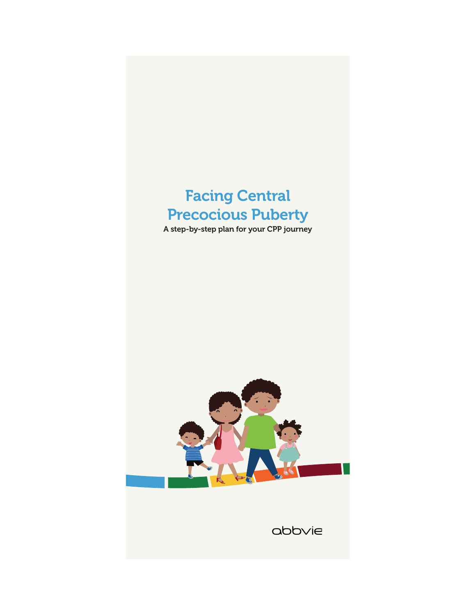# Facing Central Precocious Puberty

A step-by-step plan for your CPP journey



 $\Delta$ bb $\vee$ ie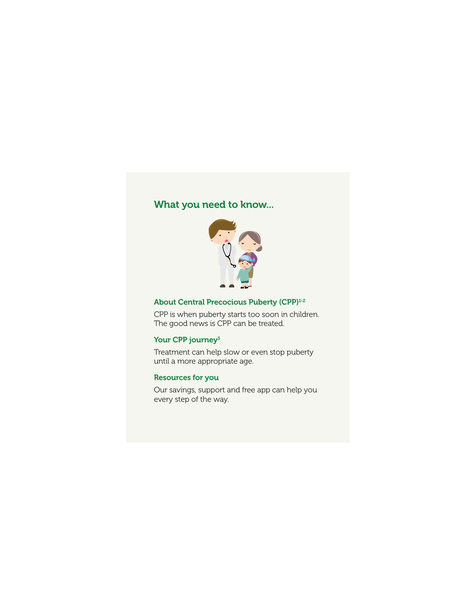## What you need to know...



## About Central Precocious Puberty (CPP)<sup>1-2</sup>

CPP is when puberty starts too soon in children. The good news is CPP can be treated.

### Your CPP journey<sup>3</sup>

Treatment can help slow or even stop puberty until a more appropriate age.

#### Resources for you

Our savings, support and free app can help you every step of the way.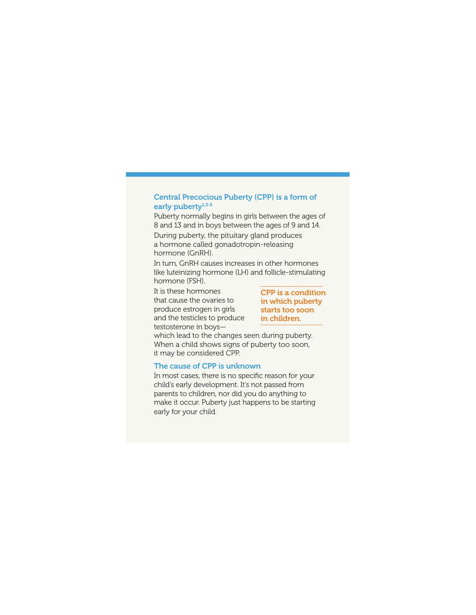#### Central Precocious Puberty (CPP) is a form of early puberty<sup>1,3-5</sup>

Puberty normally begins in girls between the ages of 8 and 13 and in boys between the ages of 9 and 14.

During puberty, the pituitary gland produces a hormone called gonadotropin-releasing hormone (GnRH).

In turn, GnRH causes increases in other hormones like luteinizing hormone (LH) and follicle-stimulating hormone (FSH).

It is these hormones that cause the ovaries to produce estrogen in girls and the testicles to produce testosterone in boys—

CPP is a condition in which puberty starts too soon in children.

which lead to the changes seen during puberty. When a child shows signs of puberty too soon, it may be considered CPP.

#### The cause of CPP is unknown

In most cases, there is no specific reason for your child's early development. It's not passed from parents to children, nor did you do anything to make it occur. Puberty just happens to be starting early for your child.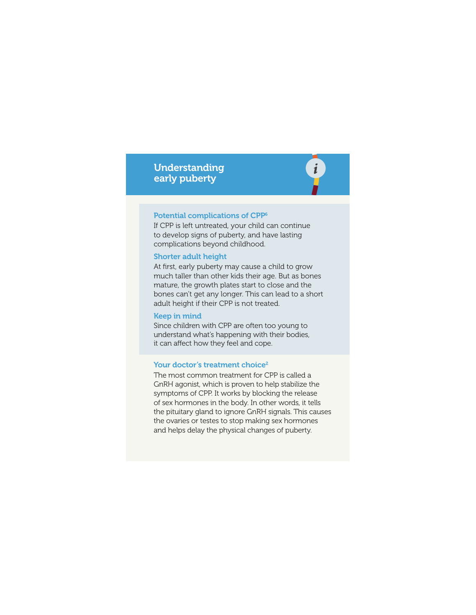## Understanding early puberty



#### Potential complications of CPP6

If CPP is left untreated, your child can continue to develop signs of puberty, and have lasting complications beyond childhood.

#### Shorter adult height

At first, early puberty may cause a child to grow much taller than other kids their age. But as bones mature, the growth plates start to close and the bones can't get any longer. This can lead to a short adult height if their CPP is not treated.

#### Keep in mind

Since children with CPP are often too young to understand what's happening with their bodies, it can affect how they feel and cope.

#### Your doctor's treatment choice<sup>2</sup>

The most common treatment for CPP is called a GnRH agonist, which is proven to help stabilize the symptoms of CPP. It works by blocking the release of sex hormones in the body. In other words, it tells the pituitary gland to ignore GnRH signals. This causes the ovaries or testes to stop making sex hormones and helps delay the physical changes of puberty.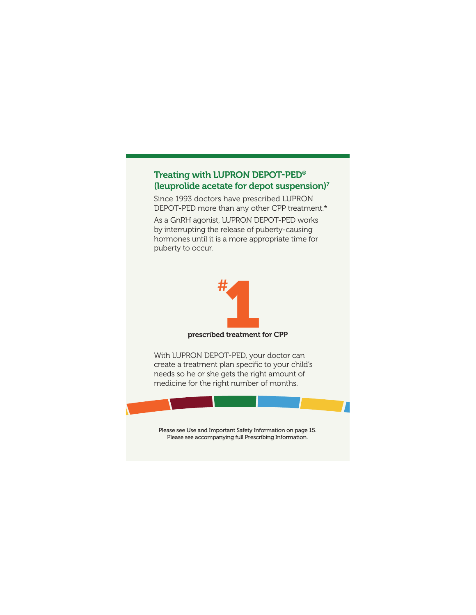## Treating with LUPRON DEPOT-PED® (leuprolide acetate for depot suspension)7

Since 1993 doctors have prescribed LUPRON DEPOT-PED more than any other CPP treatment.\*

As a GnRH agonist, LUPRON DEPOT-PED works by interrupting the release of puberty-causing hormones until it is a more appropriate time for puberty to occur.



prescribed treatment for CPP

With LUPRON DEPOT-PED, your doctor can create a treatment plan specific to your child's needs so he or she gets the right amount of medicine for the right number of months.



Please see Use and Important Safety Information on page 15. Please see accompanying full Prescribing Information.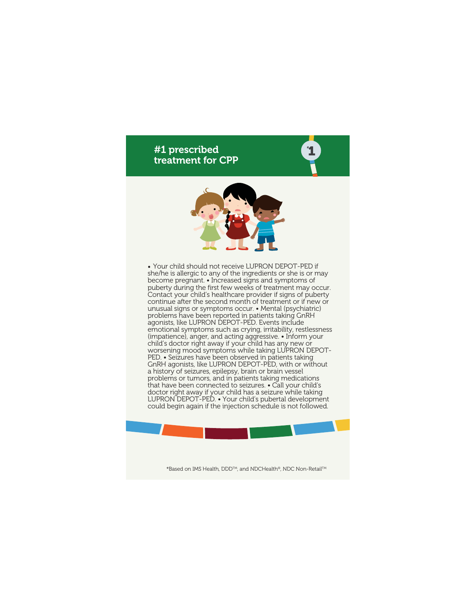## #1 prescribed treatment for CPP



**1** #

• Your child should not receive LUPRON DEPOT-PED if she/he is allergic to any of the ingredients or she is or may become pregnant. • Increased signs and symptoms of puberty during the first few weeks of treatment may occur. Contact your child's healthcare provider if signs of puberty continue after the second month of treatment or if new or unusual signs or symptoms occur. • Mental (psychiatric) problems have been reported in patients taking GnRH agonists, like LUPRON DEPOT-PED. Events include emotional symptoms such as crying, irritability, restlessness (impatience), anger, and acting aggressive. • Inform your child's doctor right away if your child has any new or worsening mood symptoms while taking LUPRON DEPOT-PED. • Seizures have been observed in patients taking GnRH agonists, like LUPRON DEPOT-PED, with or without a history of seizures, epilepsy, brain or brain vessel problems or tumors, and in patients taking medications that have been connected to seizures. • Call your child's doctor right away if your child has a seizure while taking LUPRON DEPOT-PED. • Your child's pubertal development could begin again if the injection schedule is not followed.

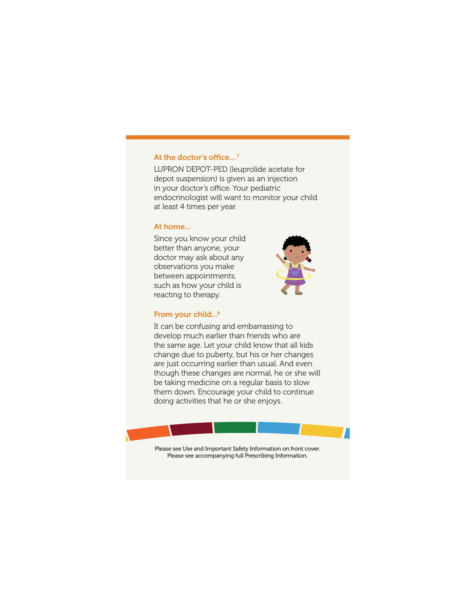#### At the doctor's office…7

LUPRON DEPOT-PED (leuprolide acetate for depot suspension) is given as an injection in your doctor's office. Your pediatric endocrinologist will want to monitor your child at least 4 times per year.

#### At home...

Since you know your child better than anyone, your doctor may ask about any observations you make between appointments, such as how your child is reacting to therapy.



#### From your child...<sup>6</sup>

It can be confusing and embarrassing to develop much earlier than friends who are the same age. Let your child know that all kids change due to puberty, but his or her changes are just occurring earlier than usual. And even though these changes are normal, he or she will be taking medicine on a regular basis to slow them down. Encourage your child to continue doing activities that he or she enjoys.

Please see Use and Important Safety Information on front cover. Please see accompanying full Prescribing Information.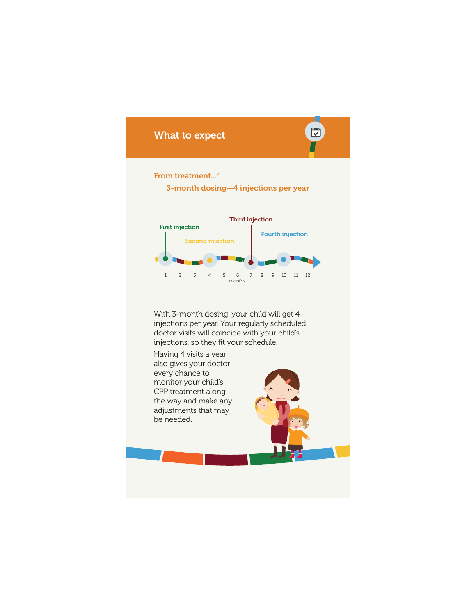## ٣ What to expect From treatment...<sup>7</sup> 3-month dosing—4 injections per year Third injection First injection Fourth injection Second injection 1 2 3 4 5 6 7 8 9 10 11 12 months With 3-month dosing, your child will get 4 injections per year. Your regularly scheduled doctor visits will coincide with your child's injections, so they fit your schedule. Having 4 visits a year also gives your doctor every chance to monitor your child's

CPP treatment along the way and make any adjustments that may be needed.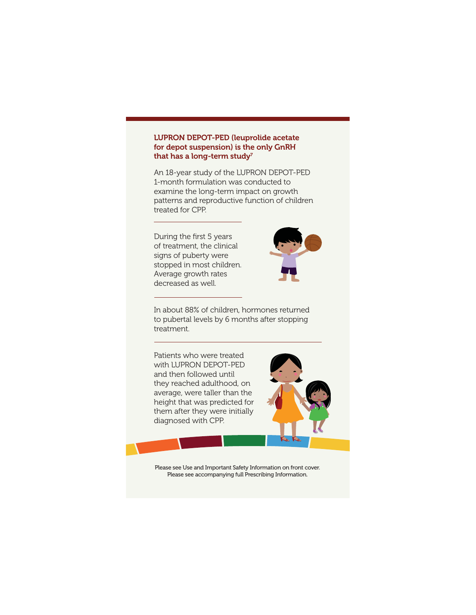#### LUPRON DEPOT-PED (leuprolide acetate for depot suspension) is the only GnRH that has a long-term study<sup>7</sup>

An 18-year study of the LUPRON DEPOT-PED 1-month formulation was conducted to examine the long-term impact on growth patterns and reproductive function of children treated for CPP.

During the first 5 years of treatment, the clinical signs of puberty were stopped in most children. Average growth rates decreased as well.



In about 88% of children, hormones returned to pubertal levels by 6 months after stopping treatment.

Patients who were treated with LUPRON DEPOT-PED and then followed until they reached adulthood, on average, were taller than the height that was predicted for them after they were initially diagnosed with CPP.



Please see Use and Important Safety Information on front cover. Please see accompanying full Prescribing Information.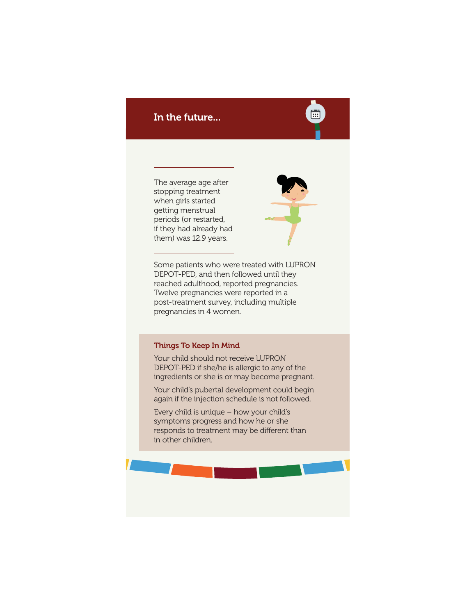## In the future...

The average age after stopping treatment when girls started getting menstrual periods (or restarted, if they had already had them) was 12.9 years.



Ě

Some patients who were treated with LUPRON DEPOT-PED, and then followed until they reached adulthood, reported pregnancies. Twelve pregnancies were reported in a post-treatment survey, including multiple pregnancies in 4 women.

#### Things To Keep In Mind

Your child should not receive LUPRON DEPOT-PED if she/he is allergic to any of the ingredients or she is or may become pregnant.

Your child's pubertal development could begin again if the injection schedule is not followed.

Every child is unique – how your child's symptoms progress and how he or she responds to treatment may be different than in other children.

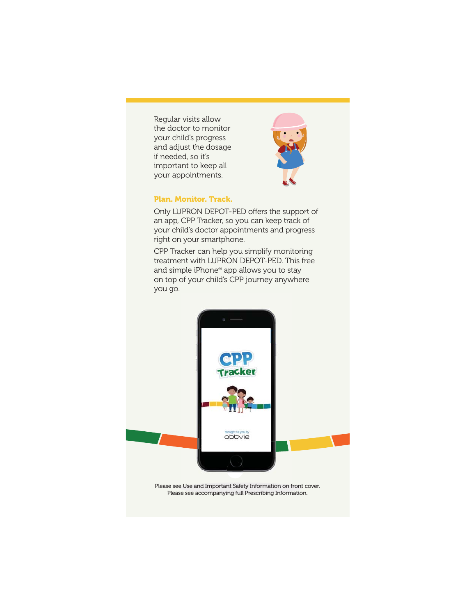Regular visits allow the doctor to monitor your child's progress and adjust the dosage if needed, so it's important to keep all your appointments.



#### **Plan. Monitor. Track.**

Only LUPRON DEPOT-PED offers the support of an app, CPP Tracker, so you can keep track of your child's doctor appointments and progress right on your smartphone.

CPP Tracker can help you simplify monitoring treatment with LUPRON DEPOT-PED. This free and simple iPhone® app allows you to stay on top of your child's CPP journey anywhere you go.



Please see accompanying full Prescribing Information.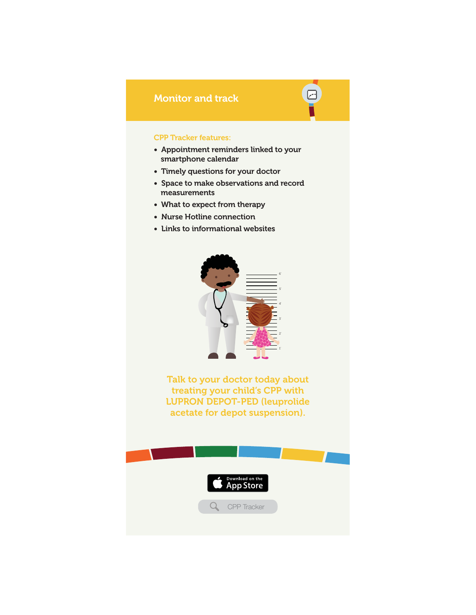## Monitor and track

#### CPP Tracker features:

• Appointment reminders linked to your smartphone calendar

冋

- Timely questions for your doctor
- Space to make observations and record measurements
- What to expect from therapy
- Nurse Hotline connection
- Links to informational websites



Talk to your doctor today about treating your child's CPP with LUPRON DEPOT-PED (leuprolide acetate for depot suspension).

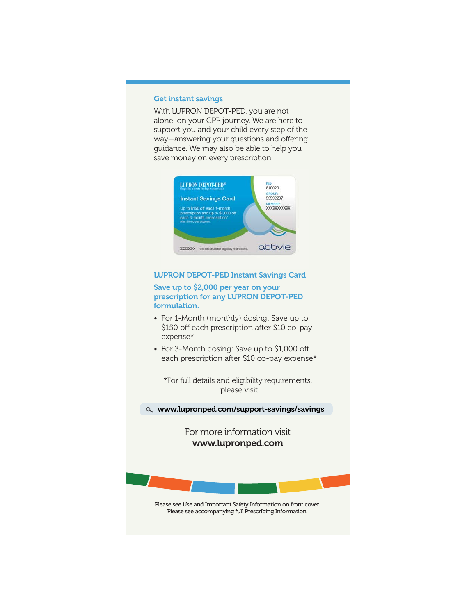#### Get instant savings

With LUPRON DEPOT-PED, you are not alone on your CPP journey. We are here to support you and your child every step of the way—answering your questions and offering guidance. We may also be able to help you save money on every prescription.



#### LUPRON DEPOT-PED Instant Savings Card

#### Save up to \$2,000 per year on your prescription for any LUPRON DEPOT-PED formulation.

- For 1-Month (monthly) dosing: Save up to \$150 off each prescription after \$10 co-pay expense\*
- For 3-Month dosing: Save up to \$1,000 off each prescription after \$10 co-pay expense\*

\*For full details and eligibility requirements, please visit

www.lupronped.com/support-savings/savings

For more information visit www.lupronped.com



Please see Use and Important Safety Information on front cover. Please see accompanying full Prescribing Information.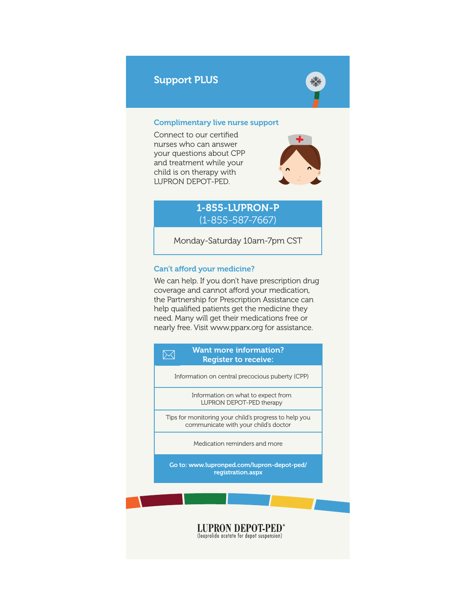## Support PLUS



#### Complimentary live nurse support

Connect to our certified nurses who can answer your questions about CPP and treatment while your child is on therapy with LUPRON DEPOT-PED.



## 1-855-LUPRON-P (1-855-587-7667)

Monday-Saturday 10am-7pm CST

#### Can't afford your medicine?

We can help. If you don't have prescription drug coverage and cannot afford your medication, the Partnership for Prescription Assistance can help qualified patients get the medicine they need. Many will get their medications free or nearly free. Visit www.pparx.org for assistance.

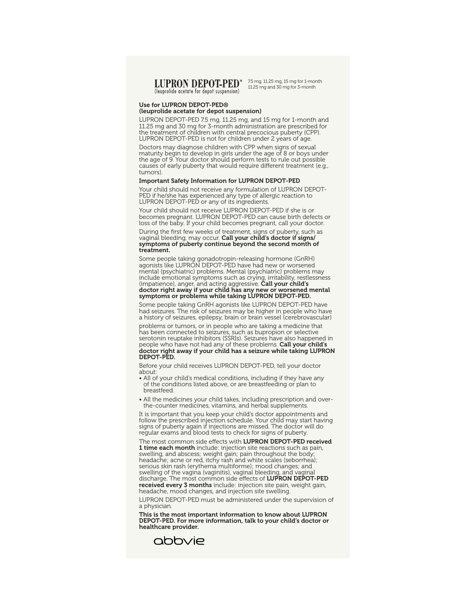#### **LUPRON DEPOT-PED<sup>®</sup>** (leuprolide acetate for depot suspension)

7.5 mg, 11.25 mg, 15 mg for 1-month 11.25 mg and 30 mg for 3-month

#### Use for LUPRON DEPOT-PED®

#### (leuprolide acetate for depot suspension)

LUPRON DEPOT-PED 7.5 mg, 11.25 mg, and 15 mg for 1-month and 11.25 mg and 30 mg for 3-month administration are prescribed for the treatment of children with central precocious puberty (CPP). LUPRON DEPOT-PED is not for children under 2 years of age.

Doctors may diagnose children with CPP when signs of sexual maturity begin to develop in girls under the age of 8 or boys under the age of 9. Your doctor should perform tests to rule out possible causes of early puberty that would require different treatment (e.g., tumors).

#### Important Safety Information for LUPRON DEPOT-PED

Your child should not receive any formulation of LUPRON DEPOT-PED if he/she has experienced any type of allergic reaction to LUPRON DEPOT-PED or any of its ingredients.

Your child should not receive LUPRON DEPOT-PED if she is or becomes pregnant. LUPRON DEPOT-PED can cause birth defects or loss of the baby. If your child becomes pregnant, call your doctor.

During the first few weeks of treatment, signs of puberty, such as vaginal bleeding, may occur. **Call your child's doctor if signs/** symptoms of puberty continue beyond the second month of treatment.

Some people taking gonadotropin-releasing hormone (GnRH) agonists like LUPRON DEPOT-PED have had new or worsened mental (psychiatric) problems. Mental (psychiatric) problems may include emotional symptoms such as crying, irritability, restlessness (impatience), anger, and acting aggressive. Call your child's doctor right away if your child has any new or worsened mental symptoms or problems while taking LUPRON DEPOT-PED.

Some people taking GnRH agonists like LUPRON DEPOT-PED have had seizures. The risk of seizures may be higher in people who have a history of seizures, epilepsy, brain or brain vessel (cerebrovascular)

problems or tumors, or in people who are taking a medicine that has been connected to seizures, such as bupropion or selective serotonin reuptake inhibitors (SSRIs). Seizures have also happened in people who have not had any of these problems. Call your child's doctor right away if your child has a seizure while taking LUPRON DEPOT-PED.

Before your child receives LUPRON DEPOT-PED, tell your doctor about:

- All of your child's medical conditions, including if they have any of the conditions listed above, or are breastfeeding or plan to breastfeed.
- All the medicines your child takes, including prescription and overthe-counter medicines, vitamins, and herbal supplements.

It is important that you keep your child's doctor appointments and follow the prescribed injection schedule. Your child may start having signs of puberty again if injections are missed. The doctor will do regular exams and blood tests to check for signs of puberty.

The most common side effects with LUPRON DEPOT-PED received **1 time each month** include: injection site reactions such as pain,<br>swelling, and abscess; weight gain; pain throughout the body; headache; acne or red, itchy rash and white scales (seborrhea); serious skin rash (erythema multiforme); mood changes; and swelling of the vagina (vaginitis), vaginal bleeding, and vaginal discharge. The most common side effects of LUPRON DEPOT-PED received every 3 months include: injection site pain, weight gain, headache, mood changes, and injection site swelling.

LUPRON DEPOT-PED must be administered under the supervision of a physician.

This is the most important information to know about LUPRON DEPOT-PED. For more information, talk to your child's doctor or healthcare provider.